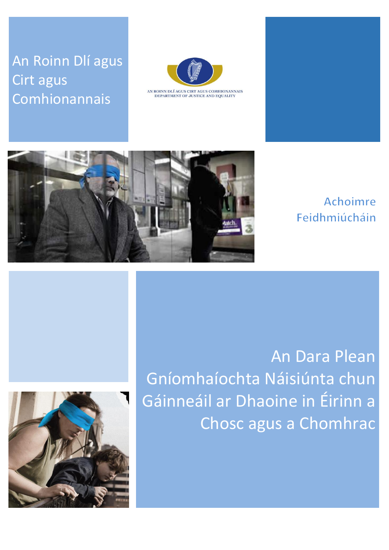# An Roinn Dlí agus Cirt agus Comhionannais



AN ROINN DLÍ AGUS CIRT AGUS COMHIONANNAIS<br>DEPARTMENT OF JUSTICE AND EQUALITY



## Achoimre Feidhmiúcháin



An Dara Plean Gníomhaíochta Náisiúnta chun Gáinneáil ar Dhaoine in Éirinn a Chosc agus a Chomhrac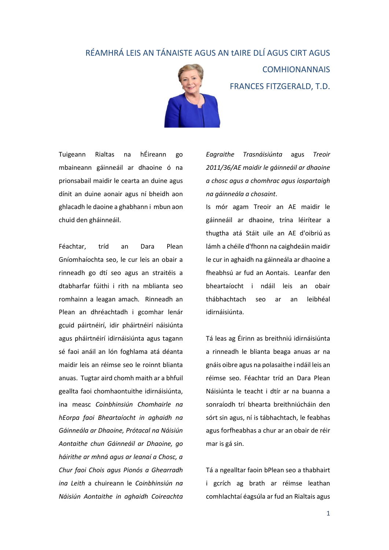#### RÉAMHRÁ LEIS AN TÁNAISTE AGUS AN tAIRE DLÍ AGUS CIRT AGUS



**COMHIONANNAIS** FRANCES FITZGERALD, T.D.

Tuigeann Rialtas na hÉireann go mbaineann gáinneáil ar dhaoine ó na prionsabail maidir le cearta an duine agus dínit an duine aonair agus ní bheidh aon ghlacadh le daoine a ghabhann i mbun aon chuid den gháinneáil.

Féachtar, tríd an Dara Plean Gníomhaíochta seo, le cur leis an obair a rinneadh go dtí seo agus an straitéis a dtabharfar fúithi i rith na mblianta seo romhainn a leagan amach. Rinneadh an Plean an dhréachtadh i gcomhar lenár gcuid páirtnéirí, idir pháirtnéirí náisiúnta agus pháirtnéirí idirnáisiúnta agus tagann sé faoi anáil an lón foghlama atá déanta maidir leis an réimse seo le roinnt blianta anuas. Tugtar aird chomh maith ar a bhfuil geallta faoi chomhaontuithe idirnáisiúnta, ina measc *Coinbhinsiún Chomhairle na hEorpa faoi Bheartaíocht in aghaidh na Gáinneála ar Dhaoine, Prótacal na Náisiún Aontaithe chun Gáinneáil ar Dhaoine, go háirithe ar mhná agus ar leanaí a Chosc, a Chur faoi Chois agus Pionós a Ghearradh ina Leith* a chuireann le *Coinbhinsiún na Náisiún Aontaithe in aghaidh Coireachta*  *Eagraithe Trasnáisiúnta* agus *Treoir 2011/36/AE maidir le gáinneáil ar dhaoine a chosc agus a chomhrac agus íospartaigh na gáinneála a chosaint*.

Is mór agam Treoir an AE maidir le gáinneáil ar dhaoine, trína léirítear a thugtha atá Stáit uile an AE d'oibriú as lámh a chéile d'fhonn na caighdeáin maidir le cur in aghaidh na gáinneála ar dhaoine a fheabhsú ar fud an Aontais. Leanfar den bheartaíocht i ndáil leis an obair thábhachtach seo ar an leibhéal idirnáisiúnta.

Tá leas ag Éirinn as breithniú idirnáisiúnta a rinneadh le blianta beaga anuas ar na gnáis oibre agus na polasaithe i ndáil leis an réimse seo. Féachtar tríd an Dara Plean Náisiúnta le teacht i dtír ar na buanna a sonraíodh trí bhearta breithniúcháin den sórt sin agus, ní is tábhachtach, le feabhas agus forfheabhas a chur ar an obair de réir mar is gá sin.

Tá a ngealltar faoin bPlean seo a thabhairt i gcrích ag brath ar réimse leathan comhlachtaí éagsúla ar fud an Rialtais agus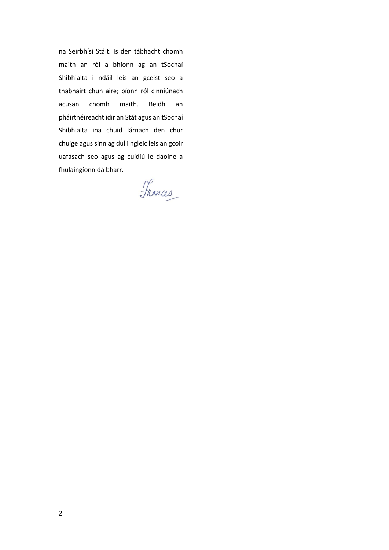na Seirbhísí Stáit. Is den tábhacht chomh maith an ról a bhíonn ag an tSochaí Shibhialta i ndáil leis an gceist seo a thabhairt chun aire; bíonn ról cinniúnach acusan chomh maith. Beidh an pháirtnéireacht idir an Stát agus an tSochaí Shibhialta ina chuid lárnach den chur chuige agus sinn ag dul i ngleic leis an gcoir uafásach seo agus ag cuidiú le daoine a fhulaingíonn dá bharr.

Frances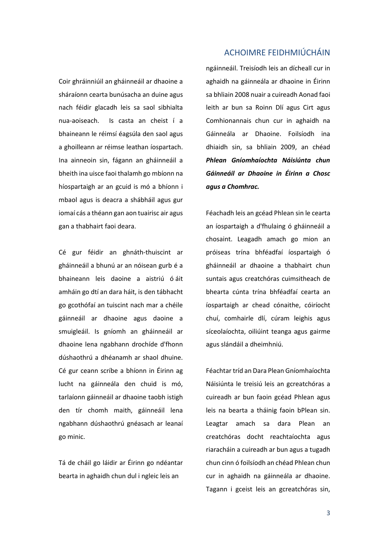Coir ghráinniúil an gháinneáil ar dhaoine a sháraíonn cearta bunúsacha an duine agus nach féidir glacadh leis sa saol sibhialta nua-aoiseach. Is casta an cheist í a bhaineann le réimsí éagsúla den saol agus a ghoilleann ar réimse leathan íospartach. Ina ainneoin sin, fágann an gháinneáil a bheith ina uisce faoi thalamh go mbíonn na híospartaigh ar an gcuid is mó a bhíonn i mbaol agus is deacra a shábháil agus gur iomaí cás a théann gan aon tuairisc air agus gan a thabhairt faoi deara.

Cé gur féidir an ghnáth-thuiscint ar gháinneáil a bhunú ar an nóisean gurb é a bhaineann leis daoine a aistriú ó áit amháin go dtí an dara háit, is den tábhacht go gcothófaí an tuiscint nach mar a chéile gáinneáil ar dhaoine agus daoine a smuigleáil. Is gníomh an gháinneáil ar dhaoine lena ngabhann drochíde d'fhonn dúshaothrú a dhéanamh ar shaol dhuine. Cé gur ceann scríbe a bhíonn in Éirinn ag lucht na gáinneála den chuid is mó, tarlaíonn gáinneáil ar dhaoine taobh istigh den tír chomh maith, gáinneáil lena ngabhann dúshaothrú gnéasach ar leanaí go minic.

Tá de cháil go láidir ar Éirinn go ndéantar bearta in aghaidh chun dul i ngleic leis an

#### ACHOIMRE FEIDHMIÚCHÁIN

ngáinneáil. Treisíodh leis an dícheall cur in aghaidh na gáinneála ar dhaoine in Éirinn sa bhliain 2008 nuair a cuireadh Aonad faoi leith ar bun sa Roinn Dlí agus Cirt agus Comhionannais chun cur in aghaidh na Gáinneála ar Dhaoine. Foilsíodh ina dhiaidh sin, sa bhliain 2009, an chéad *Phlean Gníomhaíochta Náisiúnta chun Gáinneáil ar Dhaoine in Éirinn a Chosc agus a Chomhrac.*

Féachadh leis an gcéad Phlean sin le cearta an íospartaigh a d'fhulaing ó gháinneáil a chosaint. Leagadh amach go mion an próiseas trína bhféadfaí íospartaigh ó gháinneáil ar dhaoine a thabhairt chun suntais agus creatchóras cuimsitheach de bhearta cúnta trína bhféadfaí cearta an íospartaigh ar chead cónaithe, cóiríocht chuí, comhairle dlí, cúram leighis agus síceolaíochta, oiliúint teanga agus gairme agus slándáil a dheimhniú.

Féachtar tríd an Dara Plean Gníomhaíochta Náisiúnta le treisiú leis an gcreatchóras a cuireadh ar bun faoin gcéad Phlean agus leis na bearta a tháinig faoin bPlean sin. Leagtar amach sa dara Plean an creatchóras docht reachtaíochta agus riaracháin a cuireadh ar bun agus a tugadh chun cinn ó foilsíodh an chéad Phlean chun cur in aghaidh na gáinneála ar dhaoine. Tagann i gceist leis an gcreatchóras sin,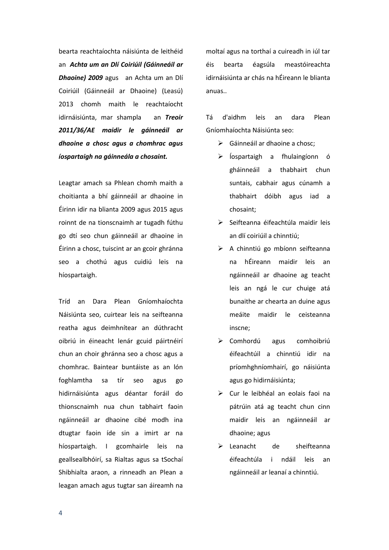bearta reachtaíochta náisiúnta de leithéid an *Achta um an Dlí Coiriúil (Gáinneáil ar Dhaoine) 2009* agus an Achta um an Dlí Coiriúil (Gáinneáil ar Dhaoine) (Leasú) 2013 chomh maith le reachtaíocht idirnáisiúnta, mar shampla an *Treoir 2011/36/AE maidir le gáinneáil ar dhaoine a chosc agus a chomhrac agus íospartaigh na gáinneála a chosaint.*

Leagtar amach sa Phlean chomh maith a choitianta a bhí gáinneáil ar dhaoine in Éirinn idir na blianta 2009 agus 2015 agus roinnt de na tionscnaimh ar tugadh fúthu go dtí seo chun gáinneáil ar dhaoine in Éirinn a chosc, tuiscint ar an gcoir ghránna seo a chothú agus cuidiú leis na híospartaigh.

Tríd an Dara Plean Gníomhaíochta Náisiúnta seo, cuirtear leis na seifteanna reatha agus deimhnítear an dúthracht oibriú in éineacht lenár gcuid páirtnéirí chun an choir ghránna seo a chosc agus a chomhrac. Baintear buntáiste as an lón foghlamtha sa tír seo agus go hidirnáisiúnta agus déantar foráil do thionscnaimh nua chun tabhairt faoin ngáinneáil ar dhaoine cibé modh ina dtugtar faoin íde sin a imirt ar na híospartaigh. I gcomhairle leis na geallsealbhóirí, sa Rialtas agus sa tSochaí Shibhialta araon, a rinneadh an Plean a leagan amach agus tugtar san áireamh na

moltaí agus na torthaí a cuireadh in iúl tar éis bearta éagsúla meastóireachta idirnáisiúnta ar chás na hÉireann le blianta anuas..

Tá d'aidhm leis an dara Plean Gníomhaíochta Náisiúnta seo:

- Gáinneáil ar dhaoine a chosc;
- Íospartaigh a fhulaingíonn ó gháinneáil a thabhairt chun suntais, cabhair agus cúnamh a thabhairt dóibh agus iad a chosaint;
- $\triangleright$  Seifteanna éifeachtúla maidir leis an dlí coiriúil a chinntiú;
- $\triangleright$  A chinntiú go mbíonn seifteanna na hÉireann maidir leis an ngáinneáil ar dhaoine ag teacht leis an ngá le cur chuige atá bunaithe ar chearta an duine agus meáite maidir le ceisteanna inscne;
- Comhordú agus comhoibriú éifeachtúil a chinntiú idir na príomhghníomhairí, go náisiúnta agus go hidirnáisiúnta;
- Cur le leibhéal an eolais faoi na pátrúin atá ag teacht chun cinn maidir leis an ngáinneáil ar dhaoine; agus
- > Leanacht de sheifteanna éifeachtúla i ndáil leis an ngáinneáil ar leanaí a chinntiú.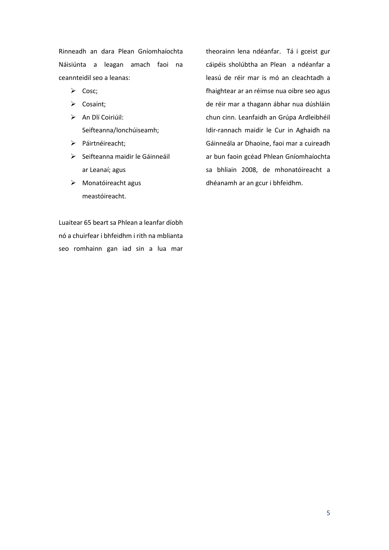Rinneadh an dara Plean Gníomhaíochta Náisiúnta a leagan amach faoi na ceannteidil seo a leanas:

- $\triangleright$  Cosc;
- $\triangleright$  Cosaint;
- > An Dlí Coiriúil: Seifteanna/Ionchúiseamh;
- > Páirtnéireacht;
- $\triangleright$  Seifteanna maidir le Gáinneáil ar Leanaí; agus
- Monatóireacht agus meastóireacht.

Luaitear 65 beart sa Phlean a leanfar díobh nó a chuirfear i bhfeidhm i rith na mblianta seo romhainn gan iad sin a lua mar

theorainn lena ndéanfar. Tá i gceist gur cáipéis sholúbtha an Plean a ndéanfar a leasú de réir mar is mó an cleachtadh a fhaightear ar an réimse nua oibre seo agus de réir mar a thagann ábhar nua dúshláin chun cinn. Leanfaidh an Grúpa Ardleibhéil Idir-rannach maidir le Cur in Aghaidh na Gáinneála ar Dhaoine, faoi mar a cuireadh ar bun faoin gcéad Phlean Gníomhaíochta sa bhliain 2008, de mhonatóireacht a dhéanamh ar an gcur i bhfeidhm.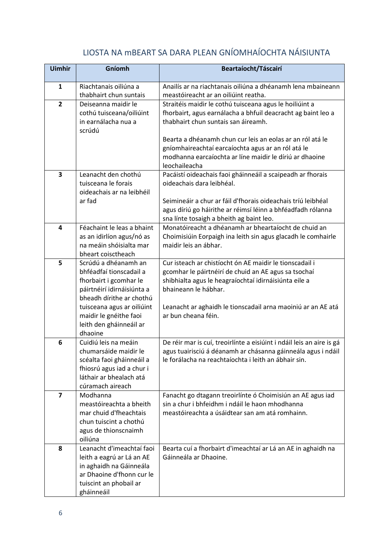### LIOSTA NA mBEART SA DARA PLEAN GNÍOMHAÍOCHTA NÁISIUNTA

| <b>Uimhir</b>           | Gníomh                                               | Beartaíocht/Táscairí                                                                                          |
|-------------------------|------------------------------------------------------|---------------------------------------------------------------------------------------------------------------|
| $\mathbf{1}$            | Riachtanais oiliúna a                                | Anailís ar na riachtanais oiliúna a dhéanamh lena mbaineann                                                   |
|                         | thabhairt chun suntais                               | meastóireacht ar an oiliúint reatha.                                                                          |
| $\overline{2}$          | Deiseanna maidir le                                  | Straitéis maidir le cothú tuisceana agus le hoiliúint a                                                       |
|                         | cothú tuisceana/oiliúint<br>in earnálacha nua a      | fhorbairt, agus earnálacha a bhfuil deacracht ag baint leo a<br>thabhairt chun suntais san áireamh.           |
|                         | scrúdú                                               |                                                                                                               |
|                         |                                                      | Bearta a dhéanamh chun cur leis an eolas ar an ról atá le                                                     |
|                         |                                                      | gníomhaireachtaí earcaíochta agus ar an ról atá le                                                            |
|                         |                                                      | modhanna earcaíochta ar líne maidir le díriú ar dhaoine                                                       |
| 3                       | Leanacht den chothú                                  | leochaileacha<br>Pacáistí oideachais faoi gháinneáil a scaipeadh ar fhorais                                   |
|                         | tuisceana le forais                                  | oideachais dara leibhéal.                                                                                     |
|                         | oideachais ar na leibhéil                            |                                                                                                               |
|                         | ar fad                                               | Seimineáir a chur ar fáil d'fhorais oideachais tríú leibhéal                                                  |
|                         |                                                      | agus díriú go háirithe ar réimsí léinn a bhféadfadh rólanna                                                   |
| 4                       | Féachaint le leas a bhaint                           | sna línte tosaigh a bheith ag baint leo.<br>Monatóireacht a dhéanamh ar bheartaíocht de chuid an              |
|                         | as an idirlíon agus/nó as                            | Choimisiúin Eorpaigh ina leith sin agus glacadh le comhairle                                                  |
|                         | na meáin shóisialta mar                              | maidir leis an ábhar.                                                                                         |
|                         | bheart coisctheach                                   |                                                                                                               |
| 5                       | Scrúdú a dhéanamh an                                 | Cur isteach ar chistíocht ón AE maidir le tionscadail i                                                       |
|                         | bhféadfaí tionscadail a<br>fhorbairt i gcomhar le    | gcomhar le páirtnéirí de chuid an AE agus sa tsochaí<br>shibhialta agus le heagraíochtaí idirnáisiúnta eile a |
|                         | páirtnéirí idirnáisiúnta a                           | bhaineann le hábhar.                                                                                          |
|                         | bheadh dírithe ar chothú                             |                                                                                                               |
|                         | tuisceana agus ar oiliúint                           | Leanacht ar aghaidh le tionscadail arna maoiniú ar an AE atá                                                  |
|                         | maidir le gnéithe faoi                               | ar bun cheana féin.                                                                                           |
|                         | leith den gháinneáil ar<br>dhaoine                   |                                                                                                               |
| 6                       | Cuidiú leis na meáin                                 | De réir mar is cuí, treoirlínte a eisiúint i ndáil leis an aire is gá                                         |
|                         | chumarsáide maidir le                                | agus tuairisciú á déanamh ar chásanna gáinneála agus i ndáil                                                  |
|                         | scéalta faoi gháinneáil a                            | le forálacha na reachtaíochta i leith an ábhair sin.                                                          |
|                         | fhiosrú agus iad a chur i<br>láthair ar bhealach atá |                                                                                                               |
|                         | cúramach aireach                                     |                                                                                                               |
| $\overline{\mathbf{z}}$ | Modhanna                                             | Fanacht go dtagann treoirlínte ó Choimisiún an AE agus iad                                                    |
|                         | meastóireachta a bheith                              | sin a chur i bhfeidhm i ndáil le haon mhodhanna                                                               |
|                         | mar chuid d'fheachtais                               | meastóireachta a úsáidtear san am atá romhainn.                                                               |
|                         | chun tuiscint a chothú<br>agus de thionscnaimh       |                                                                                                               |
|                         | oiliúna                                              |                                                                                                               |
| 8                       | Leanacht d'imeachtaí faoi                            | Bearta cuí a fhorbairt d'imeachtaí ar Lá an AE in aghaidh na                                                  |
|                         | leith a eagrú ar Lá an AE                            | Gáinneála ar Dhaoine.                                                                                         |
|                         | in aghaidh na Gáinneála                              |                                                                                                               |
|                         | ar Dhaoine d'fhonn cur le<br>tuiscint an phobail ar  |                                                                                                               |
|                         | gháinneáil                                           |                                                                                                               |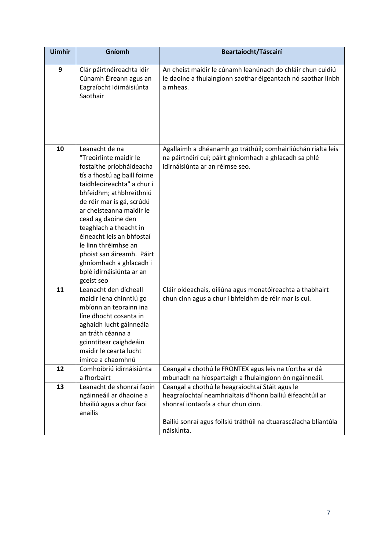| <b>Uimhir</b> | Gníomh                                                                                                                                                                                                                                                                                                                                                                                                                        | Beartaíocht/Táscairí                                                                                                                                                                                                                |
|---------------|-------------------------------------------------------------------------------------------------------------------------------------------------------------------------------------------------------------------------------------------------------------------------------------------------------------------------------------------------------------------------------------------------------------------------------|-------------------------------------------------------------------------------------------------------------------------------------------------------------------------------------------------------------------------------------|
| 9             | Clár páirtnéireachta idir<br>Cúnamh Éireann agus an<br>Eagraíocht Idirnáisiúnta<br>Saothair                                                                                                                                                                                                                                                                                                                                   | An cheist maidir le cúnamh leanúnach do chláir chun cuidiú<br>le daoine a fhulaingíonn saothar éigeantach nó saothar linbh<br>a mheas.                                                                                              |
| 10            | Leanacht de na<br>"Treoirlínte maidir le<br>fostaithe príobháideacha<br>tís a fhostú ag baill foirne<br>taidhleoireachta" a chur i<br>bhfeidhm; athbhreithniú<br>de réir mar is gá, scrúdú<br>ar cheisteanna maidir le<br>cead ag daoine den<br>teaghlach a theacht in<br>éineacht leis an bhfostaí<br>le linn thréimhse an<br>phoist san áireamh. Páirt<br>ghníomhach a ghlacadh i<br>bplé idirnáisiúnta ar an<br>gceist seo | Agallaimh a dhéanamh go tráthúil; comhairliúchán rialta leis<br>na páirtnéirí cuí; páirt ghníomhach a ghlacadh sa phlé<br>idirnáisiúnta ar an réimse seo.                                                                           |
| 11            | Leanacht den dícheall<br>maidir lena chinntiú go<br>mbíonn an teorainn ina<br>líne dhocht cosanta in<br>aghaidh lucht gáinneála<br>an tráth céanna a<br>gcinntítear caighdeáin<br>maidir le cearta lucht<br>imirce a chaomhnú                                                                                                                                                                                                 | Cláir oideachais, oiliúna agus monatóireachta a thabhairt<br>chun cinn agus a chur i bhfeidhm de réir mar is cuí.                                                                                                                   |
| 12            | Comhoibriú idirnáisiúnta<br>a fhorbairt                                                                                                                                                                                                                                                                                                                                                                                       | Ceangal a chothú le FRONTEX agus leis na tíortha ar dá<br>mbunadh na híospartaigh a fhulaingíonn ón ngáinneáil.                                                                                                                     |
| 13            | Leanacht de shonraí faoin<br>ngáinneáil ar dhaoine a<br>bhailiú agus a chur faoi<br>anailís                                                                                                                                                                                                                                                                                                                                   | Ceangal a chothú le heagraíochtaí Stáit agus le<br>heagraíochtaí neamhrialtais d'fhonn bailiú éifeachtúil ar<br>shonraí iontaofa a chur chun cinn.<br>Bailiú sonraí agus foilsiú tráthúil na dtuarascálacha bliantúla<br>náisiúnta. |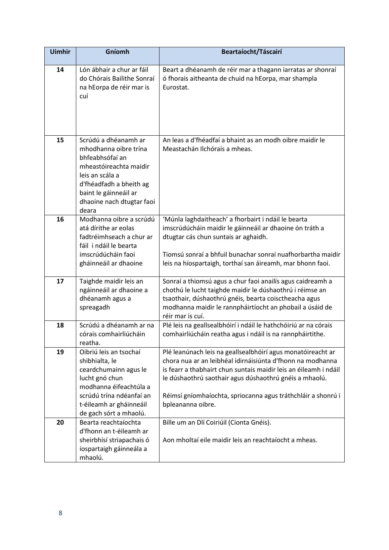| <b>Uimhir</b> | Gníomh                                                                                                                                                                                                  | Beartaíocht/Táscairí                                                                                                                                                                                                                                                                                                                         |
|---------------|---------------------------------------------------------------------------------------------------------------------------------------------------------------------------------------------------------|----------------------------------------------------------------------------------------------------------------------------------------------------------------------------------------------------------------------------------------------------------------------------------------------------------------------------------------------|
| 14            | Lón ábhair a chur ar fáil<br>do Chórais Bailithe Sonraí<br>na hEorpa de réir mar is<br>cuí                                                                                                              | Beart a dhéanamh de réir mar a thagann iarratas ar shonraí<br>ó fhorais aitheanta de chuid na hEorpa, mar shampla<br>Eurostat.                                                                                                                                                                                                               |
| 15            | Scrúdú a dhéanamh ar<br>mhodhanna oibre trína<br>bhfeabhsófaí an<br>mheastóireachta maidir<br>leis an scála a<br>d'fhéadfadh a bheith ag<br>baint le gáinneáil ar<br>dhaoine nach dtugtar faoi<br>deara | An leas a d'fhéadfaí a bhaint as an modh oibre maidir le<br>Meastachán Ilchórais a mheas.                                                                                                                                                                                                                                                    |
| 16            | Modhanna oibre a scrúdú<br>atá dírithe ar eolas<br>fadtréimhseach a chur ar<br>fáil i ndáil le bearta<br>imscrúdúcháin faoi<br>gháinneáil ar dhaoine                                                    | 'Múnla laghdaitheach' a fhorbairt i ndáil le bearta<br>imscrúdúcháin maidir le gáinneáil ar dhaoine ón tráth a<br>dtugtar cás chun suntais ar aghaidh.<br>Tiomsú sonraí a bhfuil bunachar sonraí nuafhorbartha maidir<br>leis na híospartaigh, torthaí san áireamh, mar bhonn faoi.                                                          |
| 17            | Taighde maidir leis an<br>ngáinneáil ar dhaoine a<br>dhéanamh agus a<br>spreagadh                                                                                                                       | Sonraí a thiomsú agus a chur faoi anailís agus caidreamh a<br>chothú le lucht taighde maidir le dúshaothrú i réimse an<br>tsaothair, dúshaothrú gnéis, bearta coisctheacha agus<br>modhanna maidir le rannpháirtíocht an phobail a úsáid de<br>réir mar is cuí.                                                                              |
| 18            | Scrúdú a dhéanamh ar na<br>córais comhairliúcháin<br>reatha.                                                                                                                                            | Plé leis na geallsealbhóirí i ndáil le hathchóiriú ar na córais<br>comhairliúcháin reatha agus i ndáil is na rannpháirtithe.                                                                                                                                                                                                                 |
| 19            | Oibriú leis an tsochaí<br>shibhialta, le<br>ceardchumainn agus le<br>lucht gnó chun<br>modhanna éifeachtúla a<br>scrúdú trína ndéanfaí an<br>t-éileamh ar gháinneáil<br>de gach sórt a mhaolú.          | Plé leanúnach leis na geallsealbhóirí agus monatóireacht ar<br>chora nua ar an leibhéal idirnáisiúnta d'fhonn na modhanna<br>is fearr a thabhairt chun suntais maidir leis an éileamh i ndáil<br>le dúshaothrú saothair agus dúshaothrú gnéis a mhaolú.<br>Réimsí gníomhaíochta, spriocanna agus tráthchláir a shonrú i<br>bpleananna oibre. |
| 20            | Bearta reachtaíochta<br>d'fhonn an t-éileamh ar<br>sheirbhísí striapachais ó<br>íospartaigh gáinneála a<br>mhaolú.                                                                                      | Bille um an Dlí Coiriúil (Cionta Gnéis).<br>Aon mholtaí eile maidir leis an reachtaíocht a mheas.                                                                                                                                                                                                                                            |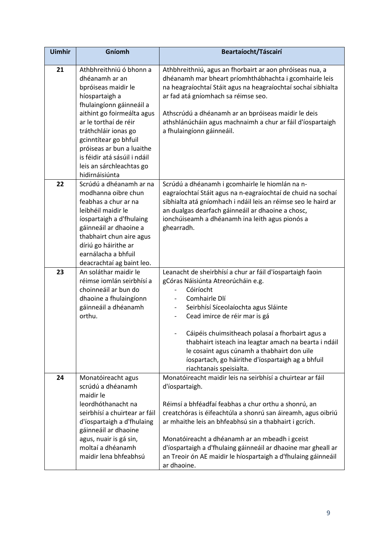| <b>Uimhir</b> | Gníomh                                                                                                                                                                                                                                                     | Beartaíocht/Táscairí                                                                                                                                                                                                                                                                                                                                                                                                                                              |
|---------------|------------------------------------------------------------------------------------------------------------------------------------------------------------------------------------------------------------------------------------------------------------|-------------------------------------------------------------------------------------------------------------------------------------------------------------------------------------------------------------------------------------------------------------------------------------------------------------------------------------------------------------------------------------------------------------------------------------------------------------------|
| 21            | Athbhreithniú ó bhonn a<br>dhéanamh ar an<br>bpróiseas maidir le<br>híospartaigh a<br>fhulaingíonn gáinneáil a                                                                                                                                             | Athbhreithniú, agus an fhorbairt ar aon phróiseas nua, a<br>dhéanamh mar bheart príomhthábhachta i gcomhairle leis<br>na heagraíochtaí Stáit agus na heagraíochtaí sochaí sibhialta<br>ar fad atá gníomhach sa réimse seo.                                                                                                                                                                                                                                        |
|               | aithint go foirmeálta agus<br>ar le torthaí de réir<br>tráthchláir ionas go<br>gcinntítear go bhfuil<br>próiseas ar bun a luaithe<br>is féidir atá sásúil i ndáil<br>leis an sárchleachtas go<br>hidirnáisiúnta                                            | Athscrúdú a dhéanamh ar an bpróiseas maidir le deis<br>athshlánúcháin agus machnaimh a chur ar fáil d'íospartaigh<br>a fhulaingíonn gáinneáil.                                                                                                                                                                                                                                                                                                                    |
| 22            | Scrúdú a dhéanamh ar na<br>modhanna oibre chun<br>feabhas a chur ar na<br>leibhéil maidir le<br>íospartaigh a d'fhulaing<br>gáinneáil ar dhaoine a<br>thabhairt chun aire agus<br>díriú go háirithe ar<br>earnálacha a bhfuil<br>deacrachtaí ag baint leo. | Scrúdú a dhéanamh i gcomhairle le hiomlán na n-<br>eagraíochtaí Stáit agus na n-eagraíochtaí de chuid na sochaí<br>sibhialta atá gníomhach i ndáil leis an réimse seo le haird ar<br>an dualgas dearfach gáinneáil ar dhaoine a chosc,<br>ionchúiseamh a dhéanamh ina leith agus pionós a<br>ghearradh.                                                                                                                                                           |
| 23            | An soláthar maidir le<br>réimse iomlán seirbhísí a<br>choinneáil ar bun do<br>dhaoine a fhulaingíonn<br>gáinneáil a dhéanamh<br>orthu.                                                                                                                     | Leanacht de sheirbhísí a chur ar fáil d'íospartaigh faoin<br>gCóras Náisiúnta Atreorúcháin e.g.<br>Cóiríocht<br>Comhairle Dlí<br>Seirbhísí Síceolaíochta agus Sláinte<br>Cead imirce de réir mar is gá<br>Cáipéis chuimsitheach polasaí a fhorbairt agus a<br>thabhairt isteach ina leagtar amach na bearta i ndáil<br>le cosaint agus cúnamh a thabhairt don uile<br>íospartach, go háirithe d'íospartaigh ag a bhfuil<br>riachtanais speisialta.                |
| 24            | Monatóireacht agus<br>scrúdú a dhéanamh<br>maidir le<br>leordhóthanacht na<br>seirbhísí a chuirtear ar fáil<br>d'íospartaigh a d'fhulaing<br>gáinneáil ar dhaoine<br>agus, nuair is gá sin,<br>moltaí a dhéanamh<br>maidir lena bhfeabhsú                  | Monatóireacht maidir leis na seirbhísí a chuirtear ar fáil<br>d'íospartaigh.<br>Réimsí a bhféadfaí feabhas a chur orthu a shonrú, an<br>creatchóras is éifeachtúla a shonrú san áireamh, agus oibriú<br>ar mhaithe leis an bhfeabhsú sin a thabhairt i gcrích.<br>Monatóireacht a dhéanamh ar an mbeadh i gceist<br>d'íospartaigh a d'fhulaing gáinneáil ar dhaoine mar gheall ar<br>an Treoir ón AE maidir le híospartaigh a d'fhulaing gáinneáil<br>ar dhaoine. |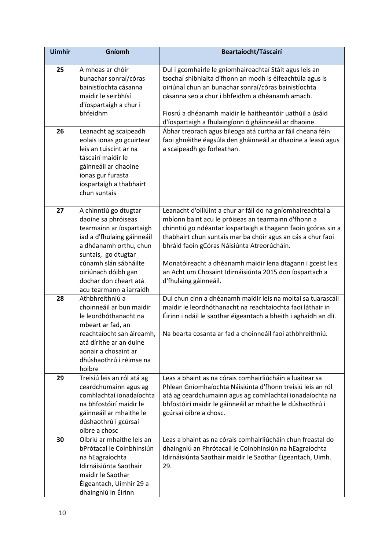| <b>Uimhir</b> | Gníomh                                                                                                                                                                                                                                                      | Beartaíocht/Táscairí                                                                                                                                                                                                                                                                                                                                                                                                                                |
|---------------|-------------------------------------------------------------------------------------------------------------------------------------------------------------------------------------------------------------------------------------------------------------|-----------------------------------------------------------------------------------------------------------------------------------------------------------------------------------------------------------------------------------------------------------------------------------------------------------------------------------------------------------------------------------------------------------------------------------------------------|
| 25            | A mheas ar chóir<br>bunachar sonraí/córas<br>bainistíochta cásanna<br>maidir le seirbhísí<br>d'íospartaigh a chur i                                                                                                                                         | Dul i gcomhairle le gníomhaireachtaí Stáit agus leis an<br>tsochaí shibhialta d'fhonn an modh is éifeachtúla agus is<br>oiriúnaí chun an bunachar sonraí/córas bainistíochta<br>cásanna seo a chur i bhfeidhm a dhéanamh amach.                                                                                                                                                                                                                     |
|               | bhfeidhm                                                                                                                                                                                                                                                    | Fiosrú a dhéanamh maidir le haitheantóir uathúil a úsáid<br>d'íospartaigh a fhulaingíonn ó gháinneáil ar dhaoine.                                                                                                                                                                                                                                                                                                                                   |
| 26            | Leanacht ag scaipeadh<br>eolais ionas go gcuirtear<br>leis an tuiscint ar na<br>táscairí maidir le<br>gáinneáil ar dhaoine<br>ionas gur furasta<br>íospartaigh a thabhairt<br>chun suntais                                                                  | Ábhar treorach agus bileoga atá curtha ar fáil cheana féin<br>faoi ghnéithe éagsúla den gháinneáil ar dhaoine a leasú agus<br>a scaipeadh go forleathan.                                                                                                                                                                                                                                                                                            |
| 27            | A chinntiú go dtugtar<br>daoine sa phróiseas<br>tearmainn ar íospartaigh<br>iad a d'fhulaing gáinneáil<br>a dhéanamh orthu, chun<br>suntais, go dtugtar<br>cúnamh slán sábháilte<br>oiriúnach dóibh gan<br>dochar don cheart atá<br>acu tearmann a iarraidh | Leanacht d'oiliúint a chur ar fáil do na gníomhaireachtaí a<br>mbíonn baint acu le próiseas an tearmainn d'fhonn a<br>chinntiú go ndéantar íospartaigh a thagann faoin gcóras sin a<br>thabhairt chun suntais mar ba chóir agus an cás a chur faoi<br>bhráid faoin gCóras Náisiúnta Atreorúcháin.<br>Monatóireacht a dhéanamh maidir lena dtagann i gceist leis<br>an Acht um Chosaint Idirnáisiúnta 2015 don íospartach a<br>d'fhulaing gáinneáil. |
| 28            | Athbhreithniú a<br>choinneáil ar bun maidir<br>le leordhóthanacht na<br>mbeart ar fad, an<br>reachtaíocht san áireamh,<br>atá dírithe ar an duine<br>aonair a chosaint ar<br>dhúshaothrú i réimse na<br>hoibre                                              | Dul chun cinn a dhéanamh maidir leis na moltaí sa tuarascáil<br>maidir le leordhóthanacht na reachtaíochta faoi láthair in<br>Éirinn i ndáil le saothar éigeantach a bheith i aghaidh an dlí.<br>Na bearta cosanta ar fad a choinneáil faoi athbhreithniú.                                                                                                                                                                                          |
| 29            | Treisiú leis an ról atá ag<br>ceardchumainn agus ag<br>comhlachtaí ionadaíochta<br>na bhfostóirí maidir le<br>gáinneáil ar mhaithe le<br>dúshaothrú i gcúrsaí<br>oibre a chosc                                                                              | Leas a bhaint as na córais comhairliúcháin a luaitear sa<br>Phlean Gníomhaíochta Náisiúnta d'fhonn treisiú leis an ról<br>atá ag ceardchumainn agus ag comhlachtaí ionadaíochta na<br>bhfostóirí maidir le gáinneáil ar mhaithe le dúshaothrú i<br>gcúrsaí oibre a chosc.                                                                                                                                                                           |
| 30            | Oibriú ar mhaithe leis an<br>bPrótacal le Coinbhinsiún<br>na hEagraíochta<br>Idirnáisiúnta Saothair<br>maidir le Saothar<br>Éigeantach, Uimhir 29 a<br>dhaingniú in Éirinn                                                                                  | Leas a bhaint as na córais comhairliúcháin chun freastal do<br>dhaingniú an Phrótacail le Coinbhinsiún na hEagraíochta<br>Idirnáisiúnta Saothair maidir le Saothar Éigeantach, Uimh.<br>29.                                                                                                                                                                                                                                                         |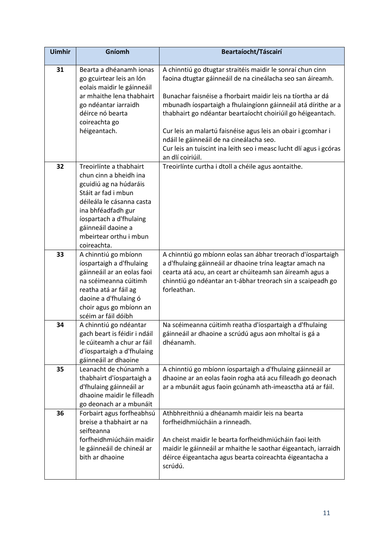| <b>Uimhir</b> | Gníomh                                                                                                                                                                                                                                          | Beartaíocht/Táscairí                                                                                                                                                                                                                                                               |
|---------------|-------------------------------------------------------------------------------------------------------------------------------------------------------------------------------------------------------------------------------------------------|------------------------------------------------------------------------------------------------------------------------------------------------------------------------------------------------------------------------------------------------------------------------------------|
| 31            | Bearta a dhéanamh ionas<br>go gcuirtear leis an lón<br>eolais maidir le gáinneáil                                                                                                                                                               | A chinntiú go dtugtar straitéis maidir le sonraí chun cinn<br>faoina dtugtar gáinneáil de na cineálacha seo san áireamh.                                                                                                                                                           |
|               | ar mhaithe lena thabhairt<br>go ndéantar iarraidh<br>déirce nó bearta<br>coireachta go                                                                                                                                                          | Bunachar faisnéise a fhorbairt maidir leis na tíortha ar dá<br>mbunadh íospartaigh a fhulaingíonn gáinneáil atá dírithe ar a<br>thabhairt go ndéantar beartaíocht choiriúil go héigeantach.                                                                                        |
|               | héigeantach.                                                                                                                                                                                                                                    | Cur leis an malartú faisnéise agus leis an obair i gcomhar i<br>ndáil le gáinneáil de na cineálacha seo.<br>Cur leis an tuiscint ina leith seo i measc lucht dlí agus i gcóras<br>an dlí coiriúil.                                                                                 |
| 32            | Treoirlínte a thabhairt<br>chun cinn a bheidh ina<br>gcuidiú ag na húdaráis<br>Stáit ar fad i mbun<br>déileála le cásanna casta<br>ina bhféadfadh gur<br>íospartach a d'fhulaing<br>gáinneáil daoine a<br>mbeirtear orthu i mbun<br>coireachta. | Treoirlínte curtha i dtoll a chéile agus aontaithe.                                                                                                                                                                                                                                |
| 33            | A chinntiú go mbíonn<br>íospartaigh a d'fhulaing<br>gáinneáil ar an eolas faoi<br>na scéimeanna cúitimh<br>reatha atá ar fáil ag<br>daoine a d'fhulaing ó<br>choir agus go mbíonn an<br>scéim ar fáil dóibh                                     | A chinntiú go mbíonn eolas san ábhar treorach d'íospartaigh<br>a d'fhulaing gáinneáil ar dhaoine trína leagtar amach na<br>cearta atá acu, an ceart ar chúiteamh san áireamh agus a<br>chinntiú go ndéantar an t-ábhar treorach sin a scaipeadh go<br>forleathan.                  |
| 34            | A chinntiú go ndéantar<br>gach beart is féidir i ndáil<br>le cúiteamh a chur ar fáil<br>d'íospartaigh a d'fhulaing<br>gáinneáil ar dhaoine                                                                                                      | Na scéimeanna cúitimh reatha d'íospartaigh a d'fhulaing<br>gáinneáil ar dhaoine a scrúdú agus aon mholtaí is gá a<br>dhéanamh.                                                                                                                                                     |
| 35            | Leanacht de chúnamh a<br>thabhairt d'íospartaigh a<br>d'fhulaing gáinneáil ar<br>dhaoine maidir le filleadh<br>go deonach ar a mbunáit                                                                                                          | A chinntiú go mbíonn íospartaigh a d'fhulaing gáinneáil ar<br>dhaoine ar an eolas faoin rogha atá acu filleadh go deonach<br>ar a mbunáit agus faoin gcúnamh ath-imeasctha atá ar fáil.                                                                                            |
| 36            | Forbairt agus forfheabhsú<br>breise a thabhairt ar na<br>seifteanna<br>forfheidhmiúcháin maidir<br>le gáinneáil de chineál ar<br>bith ar dhaoine                                                                                                | Athbhreithniú a dhéanamh maidir leis na bearta<br>forfheidhmiúcháin a rinneadh.<br>An cheist maidir le bearta forfheidhmiúcháin faoi leith<br>maidir le gáinneáil ar mhaithe le saothar éigeantach, iarraidh<br>déirce éigeantacha agus bearta coireachta éigeantacha a<br>scrúdú. |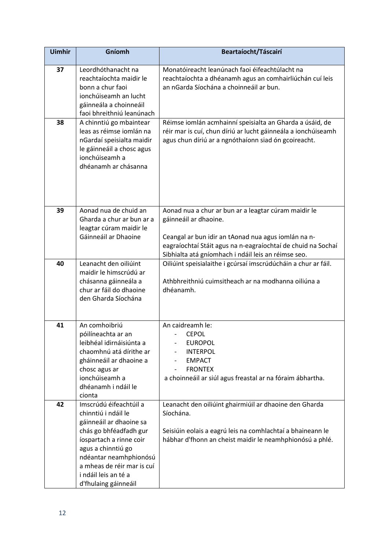| <b>Uimhir</b> | Gníomh                                                                                                                                                                                                                                                      | Beartaíocht/Táscairí                                                                                                                                                                                                                                        |
|---------------|-------------------------------------------------------------------------------------------------------------------------------------------------------------------------------------------------------------------------------------------------------------|-------------------------------------------------------------------------------------------------------------------------------------------------------------------------------------------------------------------------------------------------------------|
| 37            | Leordhóthanacht na<br>reachtaíochta maidir le<br>bonn a chur faoi<br>ionchúiseamh an lucht<br>gáinneála a choinneáil<br>faoi bhreithniú leanúnach                                                                                                           | Monatóireacht leanúnach faoi éifeachtúlacht na<br>reachtaíochta a dhéanamh agus an comhairliúchán cuí leis<br>an nGarda Síochána a choinneáil ar bun.                                                                                                       |
| 38            | A chinntiú go mbaintear<br>leas as réimse iomlán na<br>nGardaí speisialta maidir<br>le gáinneáil a chosc agus<br>ionchúiseamh a<br>dhéanamh ar chásanna                                                                                                     | Réimse iomlán acmhainní speisialta an Gharda a úsáid, de<br>réir mar is cuí, chun díriú ar lucht gáinneála a ionchúiseamh<br>agus chun díriú ar a ngnóthaíonn siad ón gcoireacht.                                                                           |
| 39            | Aonad nua de chuid an<br>Gharda a chur ar bun ar a<br>leagtar cúram maidir le<br>Gáinneáil ar Dhaoine                                                                                                                                                       | Aonad nua a chur ar bun ar a leagtar cúram maidir le<br>gáinneáil ar dhaoine.<br>Ceangal ar bun idir an tAonad nua agus iomlán na n-<br>eagraíochtaí Stáit agus na n-eagraíochtaí de chuid na Sochaí<br>Sibhialta atá gníomhach i ndáil leis an réimse seo. |
| 40            | Leanacht den oiliúint<br>maidir le himscrúdú ar<br>chásanna gáinneála a<br>chur ar fáil do dhaoine<br>den Gharda Síochána                                                                                                                                   | Oiliúint speisialaithe i gcúrsaí imscrúdúcháin a chur ar fáil.<br>Athbhreithniú cuimsitheach ar na modhanna oiliúna a<br>dhéanamh.                                                                                                                          |
| 41            | An comhoibriú<br>póilíneachta ar an<br>leibhéal idirnáisiúnta a<br>chaomhnú atá dírithe ar<br>gháinneáil ar dhaoine a<br>chosc agus ar<br>ionchúiseamh a<br>dhéanamh i ndáil le<br>cionta                                                                   | An caidreamh le:<br><b>CEPOL</b><br><b>EUROPOL</b><br><b>INTERPOL</b><br><b>EMPACT</b><br><b>FRONTEX</b><br>a choinneáil ar siúl agus freastal ar na fóraim ábhartha.                                                                                       |
| 42            | Imscrúdú éifeachtúil a<br>chinntiú i ndáil le<br>gáinneáil ar dhaoine sa<br>chás go bhféadfadh gur<br>íospartach a rinne coir<br>agus a chinntiú go<br>ndéantar neamhphionósú<br>a mheas de réir mar is cuí<br>i ndáil leis an té a<br>d'fhulaing gáinneáil | Leanacht den oiliúint ghairmiúil ar dhaoine den Gharda<br>Síochána.<br>Seisiúin eolais a eagrú leis na comhlachtaí a bhaineann le<br>hábhar d'fhonn an cheist maidir le neamhphionósú a phlé.                                                               |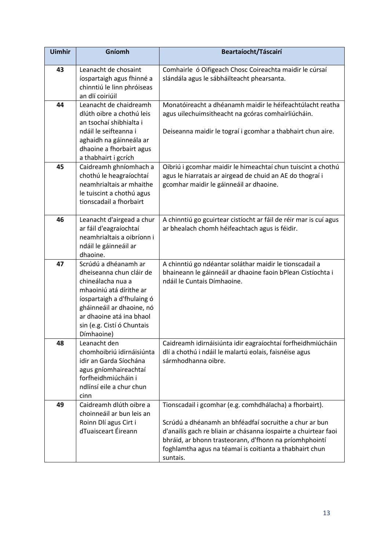| <b>Uimhir</b> | Gníomh                                                                                                                                                                                                                              | Beartaíocht/Táscairí                                                                                                                                                                                                                                                                                                  |
|---------------|-------------------------------------------------------------------------------------------------------------------------------------------------------------------------------------------------------------------------------------|-----------------------------------------------------------------------------------------------------------------------------------------------------------------------------------------------------------------------------------------------------------------------------------------------------------------------|
| 43            | Leanacht de chosaint<br>íospartaigh agus fhinné a<br>chinntiú le linn phróiseas<br>an dlí coiriúil                                                                                                                                  | Comhairle ó Oifigeach Chosc Coireachta maidir le cúrsaí<br>slándála agus le sábháilteacht phearsanta.                                                                                                                                                                                                                 |
| 44            | Leanacht de chaidreamh<br>dlúth oibre a chothú leis<br>an tsochaí shibhialta i<br>ndáil le seifteanna i<br>aghaidh na gáinneála ar<br>dhaoine a fhorbairt agus<br>a thabhairt i gcrích                                              | Monatóireacht a dhéanamh maidir le héifeachtúlacht reatha<br>agus uilechuimsitheacht na gcóras comhairliúcháin.<br>Deiseanna maidir le tograí i gcomhar a thabhairt chun aire.                                                                                                                                        |
| 45            | Caidreamh ghníomhach a<br>chothú le heagraíochtaí<br>neamhrialtais ar mhaithe<br>le tuiscint a chothú agus<br>tionscadail a fhorbairt                                                                                               | Oibriú i gcomhar maidir le himeachtaí chun tuiscint a chothú<br>agus le hiarratais ar airgead de chuid an AE do thograí i<br>gcomhar maidir le gáinneáil ar dhaoine.                                                                                                                                                  |
| 46            | Leanacht d'airgead a chur<br>ar fáil d'eagraíochtaí<br>neamhrialtais a oibríonn i<br>ndáil le gáinneáil ar<br>dhaoine.                                                                                                              | A chinntiú go gcuirtear cistíocht ar fáil de réir mar is cuí agus<br>ar bhealach chomh héifeachtach agus is féidir.                                                                                                                                                                                                   |
| 47            | Scrúdú a dhéanamh ar<br>dheiseanna chun cláir de<br>chineálacha nua a<br>mhaoiniú atá dírithe ar<br>íospartaigh a d'fhulaing ó<br>gháinneáil ar dhaoine, nó<br>ar dhaoine atá ina bhaol<br>sin (e.g. Cistí ó Chuntais<br>Dímhaoine) | A chinntiú go ndéantar soláthar maidir le tionscadail a<br>bhaineann le gáinneáil ar dhaoine faoin bPlean Cistíochta i<br>ndáil le Cuntais Dímhaoine.                                                                                                                                                                 |
| 48            | Leanacht den<br>chomhoibriú idirnáisiúnta<br>idir an Garda Síochána<br>agus gníomhaireachtaí<br>forfheidhmiúcháin i<br>ndlínsí eile a chur chun<br>cinn                                                                             | Caidreamh idirnáisiúnta idir eagraíochtaí forfheidhmiúcháin<br>dlí a chothú i ndáil le malartú eolais, faisnéise agus<br>sármhodhanna oibre.                                                                                                                                                                          |
| 49            | Caidreamh dlúth oibre a<br>choinneáil ar bun leis an<br>Roinn Dlí agus Cirt i<br>dTuaisceart Éireann                                                                                                                                | Tionscadail i gcomhar (e.g. comhdhálacha) a fhorbairt).<br>Scrúdú a dhéanamh an bhféadfaí socruithe a chur ar bun<br>d'anailís gach re bliain ar chásanna íospairte a chuirtear faoi<br>bhráid, ar bhonn trasteorann, d'fhonn na príomhphointí<br>foghlamtha agus na téamaí is coitianta a thabhairt chun<br>suntais. |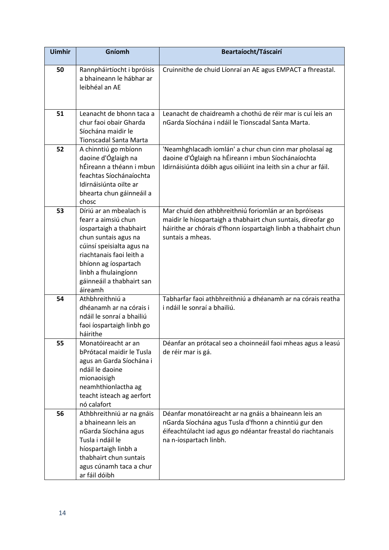| <b>Uimhir</b> | Gníomh                                                                                                                                                                                                                                             | Beartaíocht/Táscairí                                                                                                                                                                                        |
|---------------|----------------------------------------------------------------------------------------------------------------------------------------------------------------------------------------------------------------------------------------------------|-------------------------------------------------------------------------------------------------------------------------------------------------------------------------------------------------------------|
| 50            | Rannpháirtíocht i bpróisis<br>a bhaineann le hábhar ar<br>leibhéal an AE                                                                                                                                                                           | Cruinnithe de chuid Líonraí an AE agus EMPACT a fhreastal.                                                                                                                                                  |
| 51            | Leanacht de bhonn taca a<br>chur faoi obair Gharda<br>Síochána maidir le<br>Tionscadal Santa Marta                                                                                                                                                 | Leanacht de chaidreamh a chothú de réir mar is cuí leis an<br>nGarda Síochána i ndáil le Tionscadal Santa Marta.                                                                                            |
| 52            | A chinntiú go mbíonn<br>daoine d'Óglaigh na<br>hÉireann a théann i mbun<br>feachtas Síochánaíochta<br>Idirnáisiúnta oilte ar<br>bhearta chun gáinneáil a<br>chosc                                                                                  | 'Neamhghlacadh iomlán' a chur chun cinn mar pholasaí ag<br>daoine d'Óglaigh na hÉireann i mbun Síochánaíochta<br>Idirnáisiúnta dóibh agus oiliúint ina leith sin a chur ar fáil.                            |
| 53            | Díriú ar an mbealach is<br>fearr a aimsiú chun<br>íospartaigh a thabhairt<br>chun suntais agus na<br>cúinsí speisialta agus na<br>riachtanais faoi leith a<br>bhíonn ag íospartach<br>linbh a fhulaingíonn<br>gáinneáil a thabhairt san<br>áireamh | Mar chuid den athbhreithniú foriomlán ar an bpróiseas<br>maidir le híospartaigh a thabhairt chun suntais, díreofar go<br>háirithe ar chórais d'fhonn íospartaigh linbh a thabhairt chun<br>suntais a mheas. |
| 54            | Athbhreithniú a<br>dhéanamh ar na córais i<br>ndáil le sonraí a bhailiú<br>faoi íospartaigh linbh go<br>háirithe                                                                                                                                   | Tabharfar faoi athbhreithniú a dhéanamh ar na córais reatha<br>i ndáil le sonraí a bhailiú.                                                                                                                 |
| 55            | Monatóireacht ar an<br>bPrótacal maidir le Tusla<br>agus an Garda Síochána i<br>ndáil le daoine<br>mionaoisigh<br>neamhthionlactha ag<br>teacht isteach ag aerfort<br>nó calafort                                                                  | Déanfar an prótacal seo a choinneáil faoi mheas agus a leasú<br>de réir mar is gá.                                                                                                                          |
| 56            | Athbhreithniú ar na gnáis<br>a bhaineann leis an<br>nGarda Síochána agus<br>Tusla i ndáil le<br>híospartaigh linbh a<br>thabhairt chun suntais<br>agus cúnamh taca a chur<br>ar fáil dóibh                                                         | Déanfar monatóireacht ar na gnáis a bhaineann leis an<br>nGarda Síochána agus Tusla d'fhonn a chinntiú gur den<br>éifeachtúlacht iad agus go ndéantar freastal do riachtanais<br>na n-íospartach linbh.     |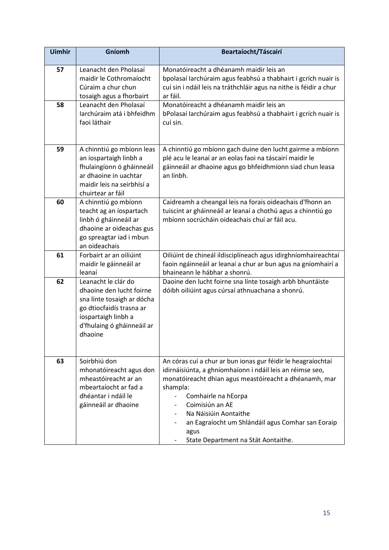| <b>Uimhir</b> | Gníomh                                                                                                                                                                    | Beartaíocht/Táscairí                                                                                                                                                                                                                                                                                                                                                                        |
|---------------|---------------------------------------------------------------------------------------------------------------------------------------------------------------------------|---------------------------------------------------------------------------------------------------------------------------------------------------------------------------------------------------------------------------------------------------------------------------------------------------------------------------------------------------------------------------------------------|
| 57<br>58      | Leanacht den Pholasaí<br>maidir le Cothromaíocht<br>Cúraim a chur chun<br>tosaigh agus a fhorbairt<br>Leanacht den Pholasaí<br>Iarchúraim atá i bhfeidhm<br>faoi láthair  | Monatóireacht a dhéanamh maidir leis an<br>bpolasaí Iarchúraim agus feabhsú a thabhairt i gcrích nuair is<br>cuí sin i ndáil leis na tráthchláir agus na nithe is féidir a chur<br>ar fáil.<br>Monatóireacht a dhéanamh maidir leis an<br>bPolasaí Iarchúraim agus feabhsú a thabhairt i gcrích nuair is<br>cuí sin.                                                                        |
| 59            | A chinntiú go mbíonn leas<br>an íospartaigh linbh a<br>fhulaingíonn ó gháinneáil<br>ar dhaoine in uachtar<br>maidir leis na seirbhísí a<br>chuirtear ar fáil              | A chinntiú go mbíonn gach duine den lucht gairme a mbíonn<br>plé acu le leanaí ar an eolas faoi na táscairí maidir le<br>gáinneáil ar dhaoine agus go bhfeidhmíonn siad chun leasa<br>an linbh.                                                                                                                                                                                             |
| 60            | A chinntiú go mbíonn<br>teacht ag an íospartach<br>linbh ó gháinneáil ar<br>dhaoine ar oideachas gus<br>go spreagtar iad i mbun<br>an oideachais                          | Caidreamh a cheangal leis na forais oideachais d'fhonn an<br>tuiscint ar gháinneáil ar leanaí a chothú agus a chinntiú go<br>mbíonn socrúcháin oideachais chuí ar fáil acu.                                                                                                                                                                                                                 |
| 61            | Forbairt ar an oiliúint<br>maidir le gáinneáil ar<br>leanaí                                                                                                               | Oiliúint de chineál ildisciplíneach agus idirghníomhaireachtaí<br>faoin ngáinneáil ar leanaí a chur ar bun agus na gníomhairí a<br>bhaineann le hábhar a shonrú.                                                                                                                                                                                                                            |
| 62            | Leanacht le clár do<br>dhaoine den lucht foirne<br>sna línte tosaigh ar dócha<br>go dtiocfaidís trasna ar<br>íospartaigh linbh a<br>d'fhulaing ó gháinneáil ar<br>dhaoine | Daoine den lucht foirne sna línte tosaigh arbh bhuntáiste<br>dóibh oiliúint agus cúrsaí athnuachana a shonrú.                                                                                                                                                                                                                                                                               |
| 63            | Soirbhiú don<br>mhonatóireacht agus don<br>mheastóireacht ar an<br>mbeartaíocht ar fad a<br>dhéantar i ndáil le<br>gáinneáil ar dhaoine                                   | An córas cuí a chur ar bun ionas gur féidir le heagraíochtaí<br>idirnáisiúnta, a ghníomhaíonn i ndáil leis an réimse seo,<br>monatóireacht dhian agus meastóireacht a dhéanamh, mar<br>shampla:<br>Comhairle na hEorpa<br>$\qquad \qquad -$<br>Coimisiún an AE<br>Na Náisiúin Aontaithe<br>an Eagraíocht um Shlándáil agus Comhar san Eoraip<br>agus<br>State Department na Stát Aontaithe. |